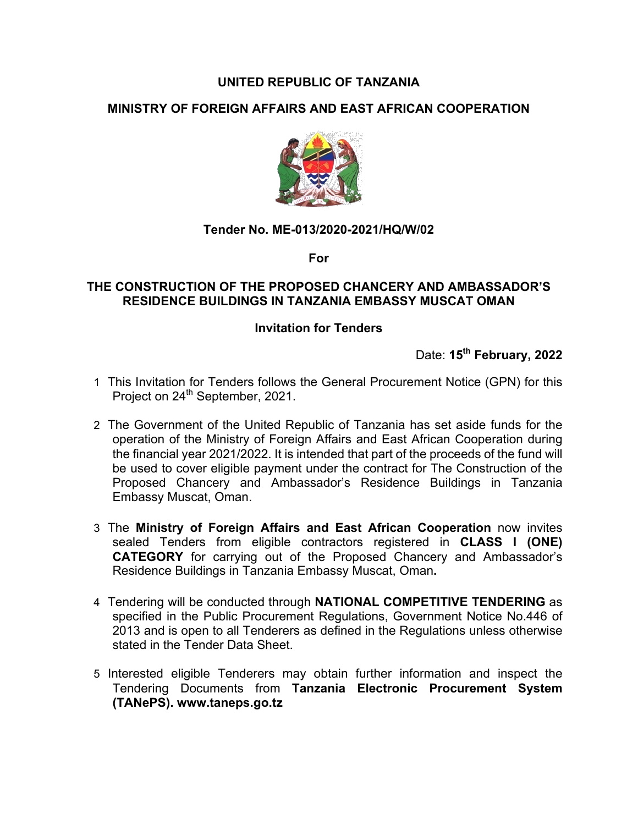# **UNITED REPUBLIC OF TANZANIA**

# **MINISTRY OF FOREIGN AFFAIRS AND EAST AFRICAN COOPERATION**



### **Tender No. ME-013/2020-2021/HQ/W/02**

**For**

### **THE CONSTRUCTION OF THE PROPOSED CHANCERY AND AMBASSADOR'S RESIDENCE BUILDINGS IN TANZANIA EMBASSY MUSCAT OMAN**

### **Invitation for Tenders**

Date: **15th February, 2022**

- 1 This Invitation for Tenders follows the General Procurement Notice (GPN) for this Project on 24<sup>th</sup> September, 2021.
- 2 The Government of the United Republic of Tanzania has set aside funds for the operation of the Ministry of Foreign Affairs and East African Cooperation during the financial year 2021/2022. It is intended that part of the proceeds of the fund will be used to cover eligible payment under the contract for The Construction of the Proposed Chancery and Ambassador's Residence Buildings in Tanzania Embassy Muscat, Oman.
- 3 The **Ministry of Foreign Affairs and East African Cooperation** now invites sealed Tenders from eligible contractors registered in **CLASS I (ONE) CATEGORY** for carrying out of the Proposed Chancery and Ambassador's Residence Buildings in Tanzania Embassy Muscat, Oman**.**
- 4 Tendering will be conducted through **NATIONAL COMPETITIVE TENDERING** as specified in the Public Procurement Regulations, Government Notice No.446 of 2013 and is open to all Tenderers as defined in the Regulations unless otherwise stated in the Tender Data Sheet.
- 5 Interested eligible Tenderers may obtain further information and inspect the Tendering Documents from **Tanzania Electronic Procurement System (TANePS). www.taneps.go.tz**